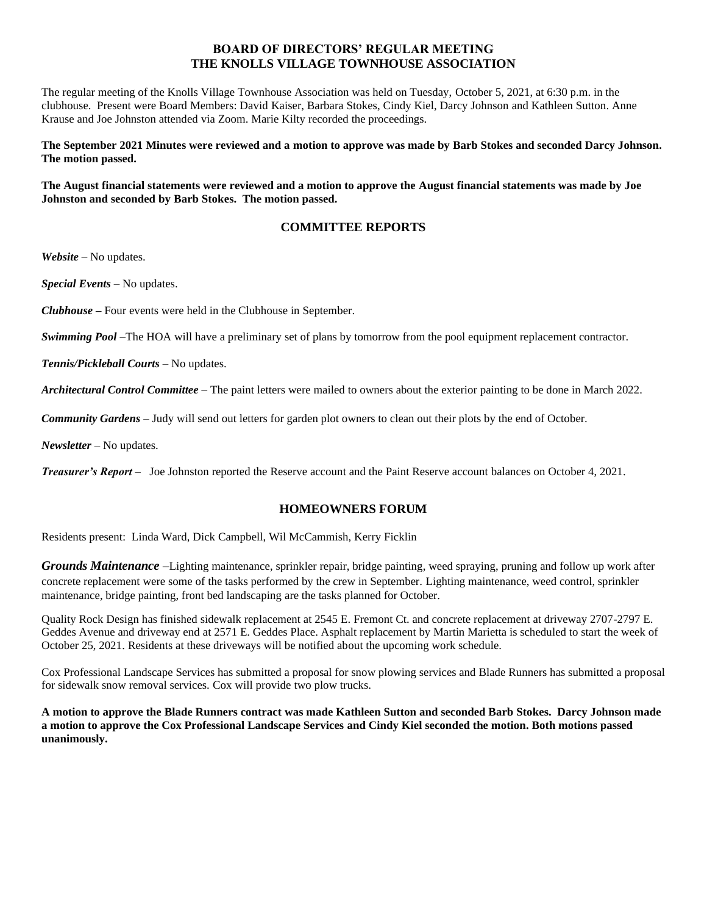## **BOARD OF DIRECTORS' REGULAR MEETING THE KNOLLS VILLAGE TOWNHOUSE ASSOCIATION**

The regular meeting of the Knolls Village Townhouse Association was held on Tuesday, October 5, 2021, at 6:30 p.m. in the clubhouse. Present were Board Members: David Kaiser, Barbara Stokes, Cindy Kiel, Darcy Johnson and Kathleen Sutton. Anne Krause and Joe Johnston attended via Zoom. Marie Kilty recorded the proceedings.

**The September 2021 Minutes were reviewed and a motion to approve was made by Barb Stokes and seconded Darcy Johnson. The motion passed.**

**The August financial statements were reviewed and a motion to approve the August financial statements was made by Joe Johnston and seconded by Barb Stokes. The motion passed.**

## **COMMITTEE REPORTS**

*Website –* No updates.

*Special Events* – No updates.

*Clubhouse* **–** Four events were held in the Clubhouse in September.

*Swimming Pool* –The HOA will have a preliminary set of plans by tomorrow from the pool equipment replacement contractor.

*Tennis/Pickleball Courts* – No updates.

*Architectural Control Committee* – The paint letters were mailed to owners about the exterior painting to be done in March 2022.

*Community Gardens* – Judy will send out letters for garden plot owners to clean out their plots by the end of October.

*Newsletter* – No updates.

*Treasurer's Report* – Joe Johnston reported the Reserve account and the Paint Reserve account balances on October 4, 2021.

#### **HOMEOWNERS FORUM**

Residents present: Linda Ward, Dick Campbell, Wil McCammish, Kerry Ficklin

*Grounds Maintenance –*Lighting maintenance, sprinkler repair, bridge painting, weed spraying, pruning and follow up work after concrete replacement were some of the tasks performed by the crew in September. Lighting maintenance, weed control, sprinkler maintenance, bridge painting, front bed landscaping are the tasks planned for October.

Quality Rock Design has finished sidewalk replacement at 2545 E. Fremont Ct. and concrete replacement at driveway 2707-2797 E. Geddes Avenue and driveway end at 2571 E. Geddes Place. Asphalt replacement by Martin Marietta is scheduled to start the week of October 25, 2021. Residents at these driveways will be notified about the upcoming work schedule.

Cox Professional Landscape Services has submitted a proposal for snow plowing services and Blade Runners has submitted a proposal for sidewalk snow removal services. Cox will provide two plow trucks.

**A motion to approve the Blade Runners contract was made Kathleen Sutton and seconded Barb Stokes. Darcy Johnson made a motion to approve the Cox Professional Landscape Services and Cindy Kiel seconded the motion. Both motions passed unanimously.**